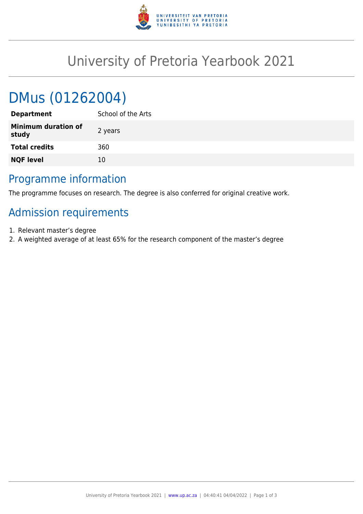

## University of Pretoria Yearbook 2021

# DMus (01262004)

| <b>Department</b>                   | School of the Arts |
|-------------------------------------|--------------------|
| <b>Minimum duration of</b><br>study | 2 years            |
| <b>Total credits</b>                | 360                |
| <b>NQF level</b>                    | 10                 |
|                                     |                    |

#### Programme information

The programme focuses on research. The degree is also conferred for original creative work.

## Admission requirements

- 1. Relevant master's degree
- 2. A weighted average of at least 65% for the research component of the master's degree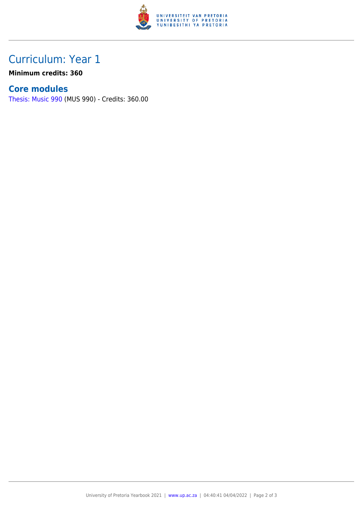

### Curriculum: Year 1

**Minimum credits: 360**

#### **Core modules**

[Thesis: Music 990](https://www.up.ac.za/mechanical-and-aeronautical-engineering/yearbooks/2021/modules/view/MUS 990) (MUS 990) - Credits: 360.00